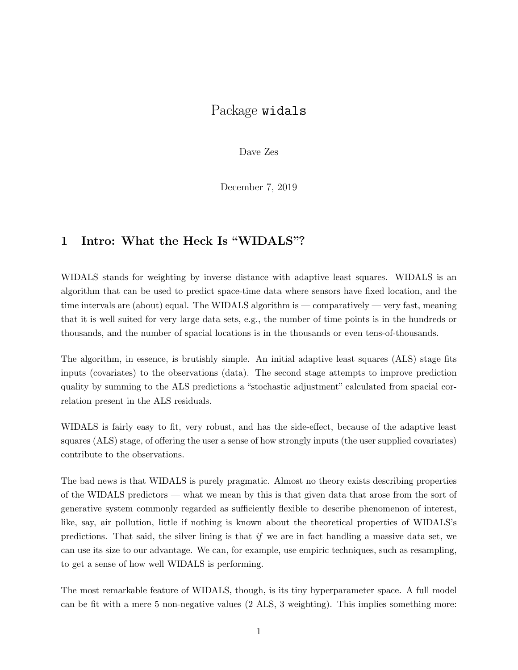## Package widals

Dave Zes

December 7, 2019

### 1 Intro: What the Heck Is "WIDALS"?

WIDALS stands for weighting by inverse distance with adaptive least squares. WIDALS is an algorithm that can be used to predict space-time data where sensors have fixed location, and the time intervals are (about) equal. The WIDALS algorithm is — comparatively — very fast, meaning that it is well suited for very large data sets, e.g., the number of time points is in the hundreds or thousands, and the number of spacial locations is in the thousands or even tens-of-thousands.

The algorithm, in essence, is brutishly simple. An initial adaptive least squares (ALS) stage fits inputs (covariates) to the observations (data). The second stage attempts to improve prediction quality by summing to the ALS predictions a "stochastic adjustment" calculated from spacial correlation present in the ALS residuals.

WIDALS is fairly easy to fit, very robust, and has the side-effect, because of the adaptive least squares (ALS) stage, of offering the user a sense of how strongly inputs (the user supplied covariates) contribute to the observations.

The bad news is that WIDALS is purely pragmatic. Almost no theory exists describing properties of the WIDALS predictors — what we mean by this is that given data that arose from the sort of generative system commonly regarded as sufficiently flexible to describe phenomenon of interest, like, say, air pollution, little if nothing is known about the theoretical properties of WIDALS's predictions. That said, the silver lining is that if we are in fact handling a massive data set, we can use its size to our advantage. We can, for example, use empiric techniques, such as resampling, to get a sense of how well WIDALS is performing.

The most remarkable feature of WIDALS, though, is its tiny hyperparameter space. A full model can be fit with a mere 5 non-negative values (2 ALS, 3 weighting). This implies something more: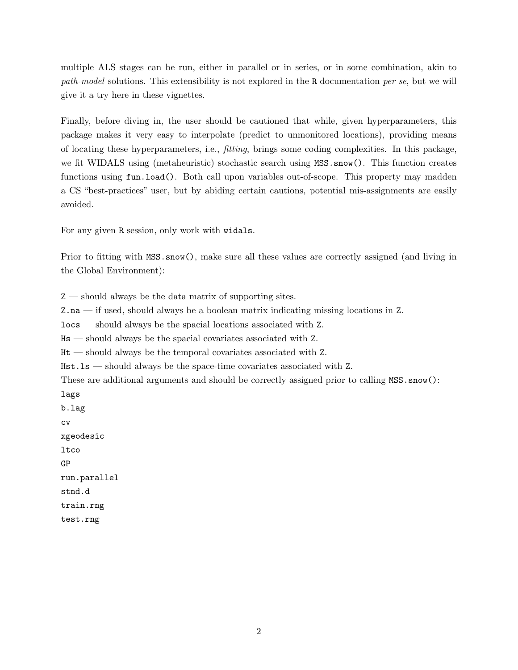multiple ALS stages can be run, either in parallel or in series, or in some combination, akin to path-model solutions. This extensibility is not explored in the R documentation per se, but we will give it a try here in these vignettes.

Finally, before diving in, the user should be cautioned that while, given hyperparameters, this package makes it very easy to interpolate (predict to unmonitored locations), providing means of locating these hyperparameters, i.e., fitting, brings some coding complexities. In this package, we fit WIDALS using (metaheuristic) stochastic search using MSS.snow(). This function creates functions using fun.load(). Both call upon variables out-of-scope. This property may madden a CS "best-practices" user, but by abiding certain cautions, potential mis-assignments are easily avoided.

For any given R session, only work with widals.

Prior to fitting with MSS.snow(), make sure all these values are correctly assigned (and living in the Global Environment):

Z — should always be the data matrix of supporting sites.

Z.na — if used, should always be a boolean matrix indicating missing locations in Z.

locs — should always be the spacial locations associated with Z.

Hs — should always be the spacial covariates associated with Z.

Ht — should always be the temporal covariates associated with Z.

Hst.ls — should always be the space-time covariates associated with Z.

These are additional arguments and should be correctly assigned prior to calling MSS.snow():

lags b.lag cv xgeodesic ltco GP run.parallel stnd.d train.rng test.rng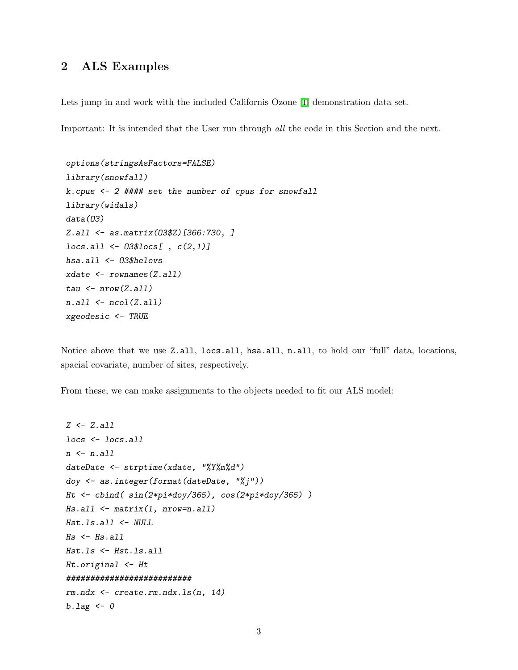## 2 ALS Examples

Lets jump in and work with the included Californis Ozone  $\prod$  demonstration data set.

Important: It is intended that the User run through all the code in this Section and the next.

```
options(stringsAsFactors=FALSE)
library(snowfall)
k.cpus <- 2 #### set the number of cpus for snowfall
library(widals)
data(O3)
Z.all <- as.matrix(O3$Z)[366:730, ]
locs.all <- O3$locs[ , c(2,1)]
hsa.all <- O3$helevs
xdate <- rownames(Z.all)
tau <- nrow(Z.all)
n.all <- ncol(Z.all)
xgeodesic <- TRUE
```
Notice above that we use Z.all, locs.all, hsa.all, n.all, to hold our "full" data, locations, spacial covariate, number of sites, respectively.

From these, we can make assignments to the objects needed to fit our ALS model:

```
Z <- Z.all
locs <- locs.all
n <- n.all
dateDate <- strptime(xdate, "%Y%m%d")
doy <- as.integer(format(dateDate, "%j"))
Ht <- cbind( sin(2*pi*doy/365), cos(2*pi*doy/365) )
Hs.all <- matrix(1, nrow=n.all)
Hst.ls.all <- NULL
Hs <- Hs.all
Hst.ls <- Hst.ls.all
Ht.original <- Ht
##########################
rm.ndx <- create.rm.ndx.ls(n, 14)
b.lag <- 0
```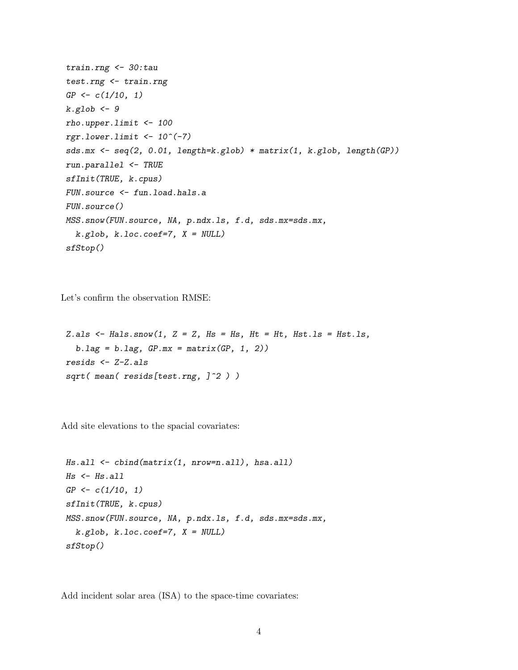```
train.rng <- 30:tau
test.rng <- train.rng
GP <- c(1/10, 1)
k.glob <- 9
rho.upper.limit <- 100
rgr.lower.limit <- 10^(-7)
sds.mx <- seq(2, 0.01, length=k.glob) * matrix(1, k.glob, length(GP))
run.parallel <- TRUE
sfInit(TRUE, k.cpus)
FUN.source <- fun.load.hals.a
FUN.source()
MSS.snow(FUN.source, NA, p.ndx.ls, f.d, sds.mx=sds.mx,
  k.glob, k.loc.coef=7, X = NULL)
sfStop()
```
Let's confirm the observation RMSE:

*Z.als <- Hals.snow(1, Z = Z, Hs = Hs, Ht = Ht, Hst.ls = Hst.ls, b.lag = b.lag, GP.mx = matrix(GP, 1, 2)) resids <- Z-Z.als sqrt( mean( resids[test.rng, ]^2 ) )*

Add site elevations to the spacial covariates:

```
Hs.all <- cbind(matrix(1, nrow=n.all), hsa.all)
Hs <- Hs.all
GP <- c(1/10, 1)
sfInit(TRUE, k.cpus)
MSS.snow(FUN.source, NA, p.ndx.ls, f.d, sds.mx=sds.mx,
  k.glob, k.loc.coef=7, X = NULL)
sfStop()
```
Add incident solar area (ISA) to the space-time covariates: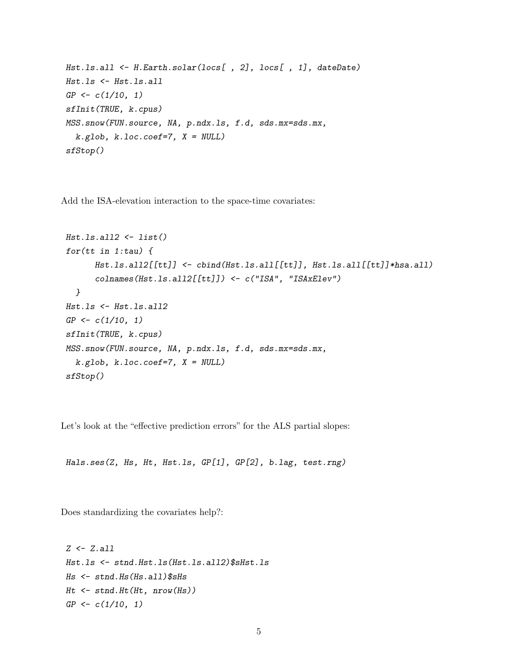```
Hst.ls.all <- H.Earth.solar(locs[ , 2], locs[ , 1], dateDate)
Hst.ls <- Hst.ls.all
GP <- c(1/10, 1)
sfInit(TRUE, k.cpus)
MSS.snow(FUN.source, NA, p.ndx.ls, f.d, sds.mx=sds.mx,
  k.glob, k.loc.coef=7, X = NULL)
sfStop()
```
Add the ISA-elevation interaction to the space-time covariates:

```
Hst.ls.all2 <- list()
for(tt in 1:tau) {
      Hst.ls.all2[[tt]] <- cbind(Hst.ls.all[[tt]], Hst.ls.all[[tt]]*hsa.all)
      colnames(Hst.ls.all2[[tt]]) <- c("ISA", "ISAxElev")
  }
Hst.ls <- Hst.ls.all2
GP <- c(1/10, 1)
sfInit(TRUE, k.cpus)
MSS.snow(FUN.source, NA, p.ndx.ls, f.d, sds.mx=sds.mx,
  k.glob, k.loc.coef=7, X = NULL)
sfStop()
```
Let's look at the "effective prediction errors" for the ALS partial slopes:

*Hals.ses(Z, Hs, Ht, Hst.ls, GP[1], GP[2], b.lag, test.rng)*

Does standardizing the covariates help?:

```
Z <- Z.all
Hst.ls <- stnd.Hst.ls(Hst.ls.all2)$sHst.ls
Hs <- stnd.Hs(Hs.all)$sHs
Ht <- stnd.Ht(Ht, nrow(Hs))
GP <- c(1/10, 1)
```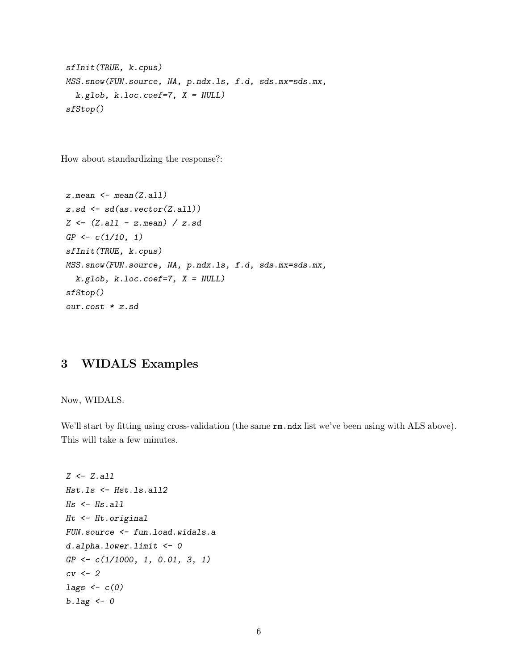```
sfInit(TRUE, k.cpus)
MSS.snow(FUN.source, NA, p.ndx.ls, f.d, sds.mx=sds.mx,
 k.glob, k.loc.coef=7, X = NULL)
sfStop()
```
How about standardizing the response?:

```
z.mean <- mean(Z.all)
z.sd <- sd(as.vector(Z.all))
Z <- (Z.all - z.mean) / z.sd
GP <- c(1/10, 1)
sfInit(TRUE, k.cpus)
MSS.snow(FUN.source, NA, p.ndx.ls, f.d, sds.mx=sds.mx,
  k.glob, k.loc.coef=7, X = NULL)
sfStop()
our.cost * z.sd
```
# 3 WIDALS Examples

Now, WIDALS.

We'll start by fitting using cross-validation (the same  $rm \,ndx$  list we've been using with ALS above). This will take a few minutes.

```
Z <- Z.all
Hst.ls <- Hst.ls.all2
Hs <- Hs.all
Ht <- Ht.original
FUN.source <- fun.load.widals.a
d.alpha.lower.limit <- 0
GP <- c(1/1000, 1, 0.01, 3, 1)
cv <- 2
lags <- c(0)
b.lag <- 0
```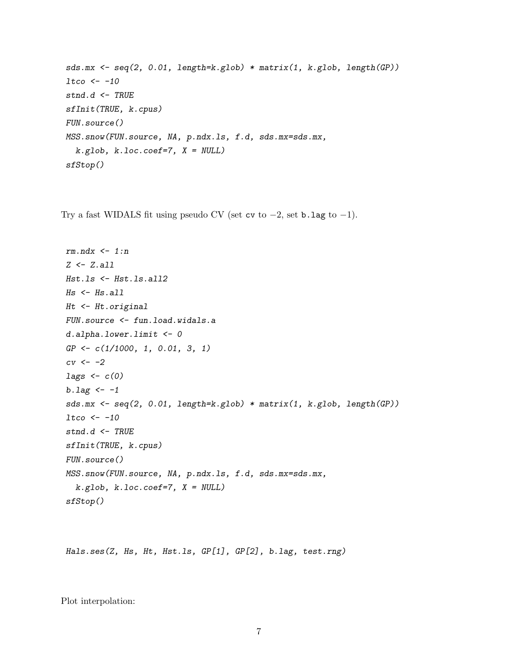```
sds.mx <- seq(2, 0.01, length=k.glob) * matrix(1, k.glob, length(GP))
ltco <- -10
stnd.d <- TRUE
sfInit(TRUE, k.cpus)
FUN.source()
MSS.snow(FUN.source, NA, p.ndx.ls, f.d, sds.mx=sds.mx,
  k.glob, k.loc.coef=7, X = NULL)
sfStop()
```
Try a fast WIDALS fit using pseudo CV (set cv to  $-2$ , set b.lag to  $-1$ ).

```
rm.ndx <- 1:n
Z <- Z.all
Hst.ls <- Hst.ls.all2
Hs <- Hs.all
Ht <- Ht.original
FUN.source <- fun.load.widals.a
d.alpha.lower.limit <- 0
GP <- c(1/1000, 1, 0.01, 3, 1)
cv <- -2
lags <- c(0)
b.lag <- -1
sds.mx <- seq(2, 0.01, length=k.glob) * matrix(1, k.glob, length(GP))
ltco <- -10
stnd.d <- TRUE
sfInit(TRUE, k.cpus)
FUN.source()
MSS.snow(FUN.source, NA, p.ndx.ls, f.d, sds.mx=sds.mx,
  k.glob, k.loc.coef=7, X = NULL)
sfStop()
```
*Hals.ses(Z, Hs, Ht, Hst.ls, GP[1], GP[2], b.lag, test.rng)*

Plot interpolation: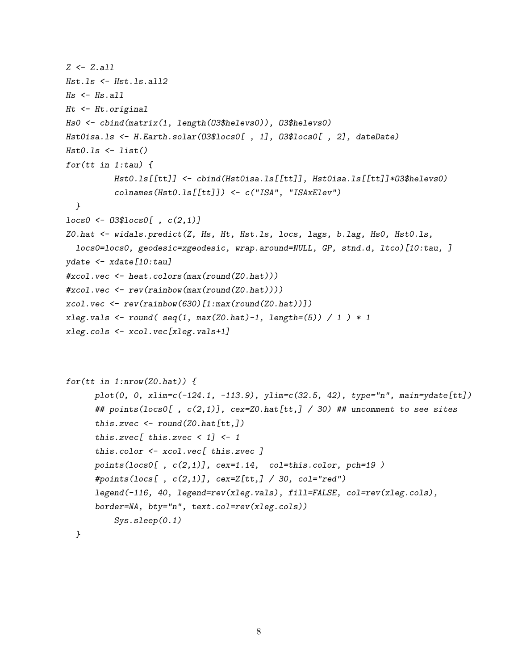```
Z <- Z.all
Hst.ls <- Hst.ls.all2
Hs <- Hs.all
Ht <- Ht.original
Hs0 <- cbind(matrix(1, length(O3$helevs0)), O3$helevs0)
Hst0isa.ls <- H.Earth.solar(O3$locs0[ , 1], O3$locs0[ , 2], dateDate)
Hst0.ls <- list()
for(tt in 1:tau) {
          Hst0.ls[[tt]] <- cbind(Hst0isa.ls[[tt]], Hst0isa.ls[[tt]]*O3$helevs0)
          colnames(Hst0.ls[[tt]]) <- c("ISA", "ISAxElev")
  }
locs0 <- O3$locs0[ , c(2,1)]
Z0.hat <- widals.predict(Z, Hs, Ht, Hst.ls, locs, lags, b.lag, Hs0, Hst0.ls,
  locs0=locs0, geodesic=xgeodesic, wrap.around=NULL, GP, stnd.d, ltco)[10:tau, ]
ydate <- xdate[10:tau]
#xcol.vec <- heat.colors(max(round(Z0.hat)))
#xcol.vec <- rev(rainbow(max(round(Z0.hat))))
xcol.vec <- rev(rainbow(630)[1:max(round(Z0.hat))])
xleg.vals <- round( seq(1, max(Z0.hat)-1, length=(5)) / 1 ) * 1
xleg.cols <- xcol.vec[xleg.vals+1]
```

```
for(tt in 1:nrow(Z0.hat)) {
      plot(0, 0, xlim=c(-124.1, -113.9), ylim=c(32.5, 42), type="n", main=ydate[tt])
      ## points(locs0[ , c(2,1)], cex=Z0.hat[tt,] / 30) ## uncomment to see sites
      this.zvec <- round(Z0.hat[tt,])
      this.zvec[ this.zvec < 1] <- 1
      this.color <- xcol.vec[ this.zvec ]
      points(locs0[ , c(2,1)], cex=1.14, col=this.color, pch=19 )
      #points(locs[ , c(2,1)], cex=Z[tt,] / 30, col="red")
      legend(-116, 40, legend=rev(xleg.vals), fill=FALSE, col=rev(xleg.cols),
      border=NA, bty="n", text.col=rev(xleg.cols))
          Sys.sleep(0.1)
```
*}*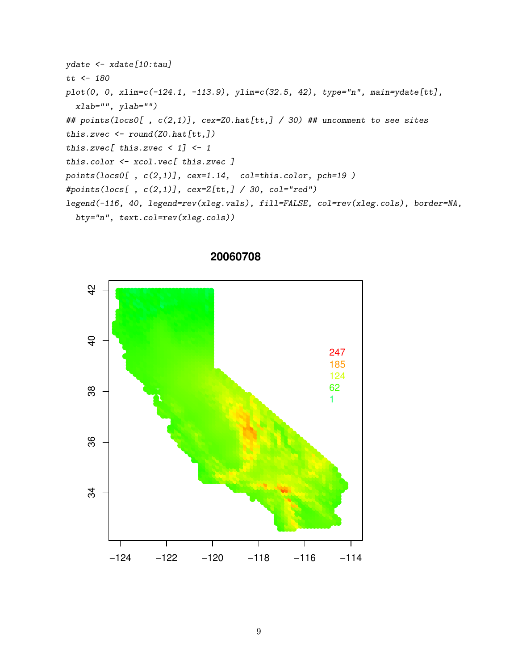```
ydate < -xdate[10:tau]tt \leftarrow 180plot(0, 0, xlim=c(-124.1, -113.9), ylim=c(32.5, 42), type="n", main=ydate[tt],
  xlab="", ylab="")## points(locs0[, c(2,1)], cex=Z0.hat[tt,] / 30) ## uncomment to see sites
this.zvec \le round(Z0.hat[tt,])
this.zvec [ this.zvec < 1] <-1this.color \leftarrow xcol.vec[ this.zvec ]
points(locs0[ , c(2,1)], cex=1.14, col=this.color, pch=19 )#points(locs[ , c(2,1)], cex=Z[tt, ] / 30, col="red")legend(-116, 40, legend=rev(xleg.vals), fill=FALSE, col=rev(xleg.cols), border=NA,
  bty="n", text.col=rev(xleg.cols))
```


#### 20060708